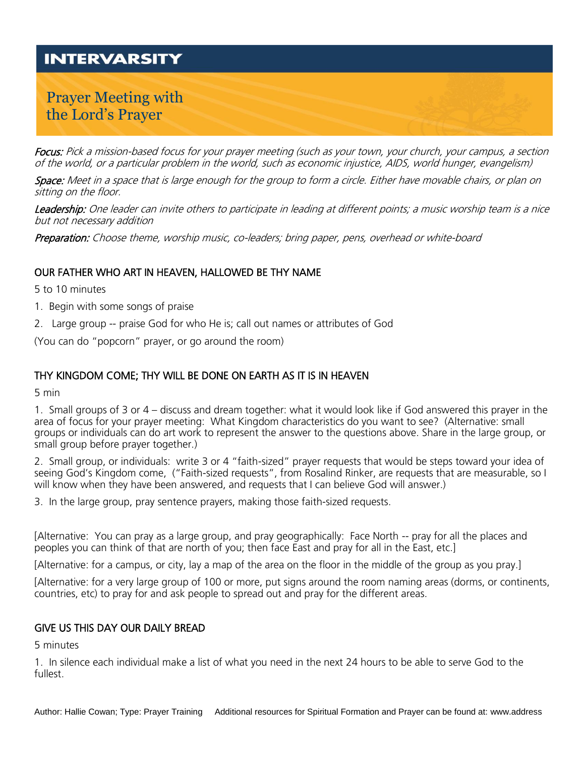# **INTERVARSITY**

# Prayer Meeting with the Lord's Prayer

Focus: Pick a mission-based focus for your prayer meeting (such as your town, your church, your campus, a section of the world, or a particular problem in the world, such as economic injustice, AIDS, world hunger, evangelism)

Space: Meet in a space that is large enough for the group to form a circle. Either have movable chairs, or plan on sitting on the floor.

Leadership: One leader can invite others to participate in leading at different points; a music worship team is a nice but not necessary addition

Preparation: Choose theme, worship music, co-leaders; bring paper, pens, overhead or white-board

### OUR FATHER WHO ART IN HEAVEN, HALLOWED BE THY NAME

5 to 10 minutes

- 1. Begin with some songs of praise
- 2. Large group -- praise God for who He is; call out names or attributes of God

(You can do "popcorn" prayer, or go around the room)

### THY KINGDOM COME; THY WILL BE DONE ON EARTH AS IT IS IN HEAVEN

5 min

1. Small groups of 3 or 4 – discuss and dream together: what it would look like if God answered this prayer in the area of focus for your prayer meeting: What Kingdom characteristics do you want to see? (Alternative: small groups or individuals can do art work to represent the answer to the questions above. Share in the large group, or small group before prayer together.)

2. Small group, or individuals: write 3 or 4 "faith-sized" prayer requests that would be steps toward your idea of seeing God's Kingdom come, ("Faith-sized requests", from Rosalind Rinker, are requests that are measurable, so I will know when they have been answered, and requests that I can believe God will answer.)

3. In the large group, pray sentence prayers, making those faith-sized requests.

[Alternative: You can pray as a large group, and pray geographically: Face North -- pray for all the places and peoples you can think of that are north of you; then face East and pray for all in the East, etc.]

[Alternative: for a campus, or city, lay a map of the area on the floor in the middle of the group as you pray.]

[Alternative: for a very large group of 100 or more, put signs around the room naming areas (dorms, or continents, countries, etc) to pray for and ask people to spread out and pray for the different areas.

#### GIVE US THIS DAY OUR DAILY BREAD

5 minutes

1. In silence each individual make a list of what you need in the next 24 hours to be able to serve God to the fullest.